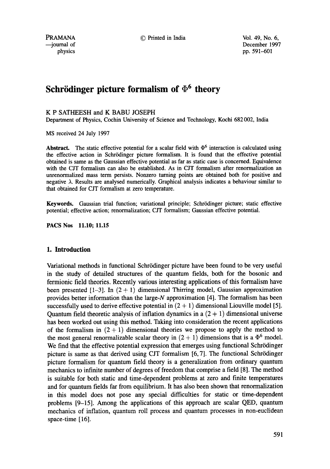PRAMANA © Printed in India Vol. 49, No. 6,

--journal of December 1997 physics pp. 591-601

# **Schrödinger picture formalism of**  $\Phi^6$  **theory**

## K P SATHEESH and K BABU JOSEPH

Department of Physics, Cochin University of Science and Technology, Kochi 682 002, India

MS received 24 July 1997

Abstract. The static effective potential for a scalar field with  $\Phi^6$  interaction is calculated using the effective action in Schrrdinger picture formalism. It is found that the effective potential obtained is same as the Gaussian effective potential as far as static case is concerned. Equivalence with the CJT formalism can also be established. As in CJT formalism after renormalization an unrenormalized mass term persists. Nonzero turning points are obtained both for positive and negative  $\lambda$ . Results are analysed numerically. Graphical analysis indicates a behaviour similar to that obtained for CJT formalism at zero temperature.

Keywords. Gaussian trial function; variational principle; Schrödinger picture; static effective potential; effective action; renormalization; CJT formalism; Gaussian effective potential.

PACS Nos 11.10; 11.15

## **1. Introduction**

Variational methods in functional Schrödinger picture have been found to be very useful in the study of detailed structures of the quantum fields, both for the bosonic and fermionic field theories. Recently various interesting applications of this formalism have been presented  $[1-3]$ . In  $(2 + 1)$  dimensional Thirring model, Gaussian approximation provides better information than the large-N approximation [4]. The formalism has been successfully used to derive effective potential in  $(2 + 1)$  dimensional Liouville model [5]. Quantum field theoretic analysis of inflation dynamics in a  $(2 + 1)$  dimensional universe has been worked out using this method. Taking into consideration the recent applications of the formalism in  $(2 + 1)$  dimensional theories we propose to apply the method to the most general renormalizable scalar theory in  $(2 + 1)$  dimensions that is a  $\Phi^6$  model. We find that the effective potential expression that emerges using functional Schrödinger picture is same as that derived using CJT formalism [6, 7]. The functional Schrrdinger picture formalism for quantum field theory is a generalization from ordinary quantum mechanics to infinite number of degrees of freedom that comprise a field [8]. The method is suitable for both static and time-dependent problems at zero and finite temperatures and for quantum fields far from equilibrium. It has also been shown that renormalization in this model does not pose any special difficulties for static or time-dependent problems [9-15]. Among the applications of this approach are scalar QED, quantum mechanics of inflation, quantum roll process and quantum processes in non-euclidean space-time [16].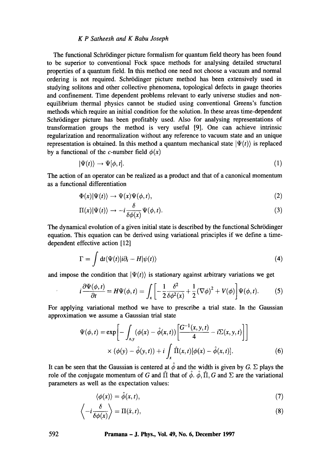The functional Schrödinger picture formalism for quantum field theory has been found to be superior to conventional Fock space methods for analysing detailed structural properties of a quantum field. In this method one need not choose a vacuum and normal ordering is not required. Schrödinger picture method has been extensively used in studying solitons and other collective phenomena, topological defects in gauge theories and confinement. Time dependent problems relevant to early universe studies and nonequilibrium thermal physics cannot be studied using conventional Greens's function methods which require an initial condition for the solution. In these areas time-dependent Schrödinger picture has been profitably used. Also for analysing representations of transformation groups the method is very useful [9]. One can achieve intrinsic regularization and renormalization without any reference to vacuum state and an unique representation is obtained. In this method a quantum mechanical state  $|\Psi(t)\rangle$  is replaced by a functional of the c-number field  $\phi(x)$ 

$$
|\Psi(t)\rangle \to \Psi[\phi, t]. \tag{1}
$$

The action of an operator can be realized as a product and that of a canonical momentum as a functional differentiation

$$
\Phi(x)|\Psi(t)\rangle \to \Psi(x)\Psi(\phi,t),\tag{2}
$$

$$
\Pi(x)|\Psi(t)\rangle \to -i\frac{\delta}{\delta\phi(x)}\Psi(\phi,t). \tag{3}
$$

The dynamical evolution of a given initial state is described by the functional Schrödinger equation. This equation can be derived using variational principles if we define a timedependent effective action [12]

$$
\Gamma = \int dt \langle \Psi(t) | i \partial_t - H | \psi(t) \rangle \tag{4}
$$

and impose the condition that  $|\Psi(t)\rangle$  is stationary against arbitrary variations we get

$$
i\frac{\partial\Psi(\phi,t)}{\partial t} = H\Psi(\phi,t) = \int_{x} \left[ -\frac{1}{2} \frac{\delta^2}{\delta\phi^2(x)} + \frac{1}{2} (\nabla\phi)^2 + V(\phi) \right] \Psi(\phi,t). \tag{5}
$$

For applying variational method we have to prescribe a trial state. In the Gaussian approximation we assume a Gaussian trial state

$$
\Psi(\phi, t) = \exp\left[-\int_{x,y} (\phi(x) - \hat{\phi}(x,t)) \left[\frac{G^{-1}(x,y,t)}{4} - i\Sigma(x,y,t)\right]\right]
$$

$$
\times (\phi(y) - \hat{\phi}(y,t)) + i \int_{x} \hat{\Pi}(x,t) [\phi(x) - \hat{\phi}(x,t)].
$$
(6)

It can be seen that the Gaussian is centered at  $\hat{\phi}$  and the width is given by G.  $\Sigma$  plays the role of the conjugate momentum of G and  $\hat{\Pi}$  that of  $\hat{\phi}$ .  $\hat{\phi}$ ,  $\hat{\Pi}$ , G and  $\Sigma$  are the variational parameters as well as the expectation values:

$$
\langle \phi(x) \rangle = \hat{\phi}(x, t), \tag{7}
$$

$$
\left\langle -i\frac{\delta}{\delta\phi(x)} \right\rangle = \Pi(\hat{x}, t),\tag{8}
$$

 $\mathcal{L}$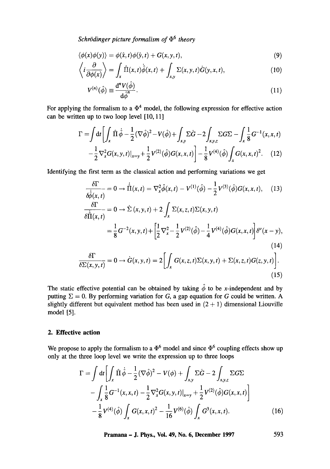*Schrödinger picture formalism of*  $\Phi^6$  *theory* 

$$
\langle \phi(x)\phi(y)\rangle = \phi(\hat{x},t)\phi(\hat{y},t) + G(x,y,t),\tag{9}
$$

$$
\left\langle i\frac{\partial}{\partial\phi(x)}\right\rangle = \int_{x} \hat{\Pi}(x,t)\dot{\hat{\phi}}(x,t) + \int_{x,y} \Sigma(x,y,t)\dot{G}(y,x,t), \tag{10}
$$

$$
V^{(n)}(\hat{\phi}) \equiv \frac{\mathrm{d}^n V(\hat{\phi})}{\mathrm{d}\hat{\phi}^n}.
$$
\n(11)

For applying the formalism to a  $\Phi^4$  model, the following expression for effective action can be written up to two loop level [10, 11]

$$
\Gamma = \int dt \left[ \int_x \hat{\Pi} \dot{\hat{\phi}} - \frac{1}{2} (\nabla \hat{\phi})^2 - V(\hat{\phi}) + \int_{xy} \Sigma \dot{G} - 2 \int_{xy,z} \Sigma G \Sigma - \int_x \frac{1}{8} G^{-1}(x, x, t) \right]
$$
  

$$
= \frac{1}{2} \nabla^2 G(x, y, t) + \frac{1}{2} V^{(2)}(\hat{\phi}) G(x, x, t) - \frac{1}{2} V^{(4)}(\hat{\phi}) \int G(x, x, t)^2 \qquad (12)
$$

$$
-\frac{1}{2}\nabla_x^2 G(x,y,t)|_{x=y}+\frac{1}{2}V^{(2)}(\hat{\phi})G(x,x,t)\bigg[-\frac{1}{8}V^{(4)}(\hat{\phi})\int_x G(x,x,t)^2. (12)
$$

Identifying the first term as the classical action and performing variations we get

$$
\frac{\delta \Gamma}{\delta \dot{\hat{\phi}}(x,t)} = 0 \rightarrow \dot{\hat{\Pi}}(x,t) = \nabla_x^2 \hat{\phi}(x,t) - V^{(1)}(\hat{\phi}) - \frac{1}{2} V^{(3)}(\hat{\phi}) G(x,x,t), \quad (13)
$$
\n
$$
\frac{\delta \Gamma}{\delta \dot{\hat{\Pi}}(x,t)} = 0 \rightarrow \dot{\Sigma}(x,y,t) + 2 \int_x \Sigma(x,z,t) \Sigma(x,y,t)
$$
\n
$$
= \frac{1}{8} G^{-2}(x,y,t) + \left[ \frac{1}{2} \nabla_x^2 - \frac{1}{2} V^{(2)}(\hat{\phi}) - \frac{1}{4} V^{(4)}(\hat{\phi}) G(x,x,t) \right] \delta^\nu(x-y), \quad (14)
$$
\n
$$
\delta \Gamma
$$

$$
\frac{\delta \Gamma}{\delta \Sigma(x, y, t)} = 0 \rightarrow \dot{G}(x, y, t) = 2 \left[ \int_x G(x, z, t) \Sigma(x, y, t) + \Sigma(x, z, t) G(z, y, t) \right].
$$
\n(15)

The static effective potential can be obtained by taking  $\hat{\phi}$  to be x-independent and by putting  $\Sigma = 0$ . By performing variation for G, a gap equation for G could be written. A slightly different but equivalent method has been used in  $(2 + 1)$  dimensional Liouville model [5].

# **2. Effective action**

We propose to apply the formalism to a  $\Phi^6$  model and since  $\Phi^6$  coupling effects show up only at the three loop level we write the expression up to three loops

$$
\Gamma = \int dt \left[ \int_x \hat{\Pi} \dot{\hat{\phi}} - \frac{1}{2} (\nabla \hat{\phi})^2 - V(\phi) + \int_{xy} \Sigma \dot{G} - 2 \int_{xy,z} \Sigma G \Sigma - \int_x \frac{1}{8} G^{-1}(x, x, t) - \frac{1}{2} \nabla_x^2 G(x, y, t)|_{x=y} + \frac{1}{2} V^{(2)}(\hat{\phi}) G(x, x, t) \right] - \frac{1}{8} V^{(4)}(\hat{\phi}) \int_x G(x, x, t)^2 - \frac{1}{16} V^{(6)}(\hat{\phi}) \int_x G^3(x, x, t).
$$
 (16)

**Pramana - J. Phys., Vol. 49, No. 6, December 1997 593**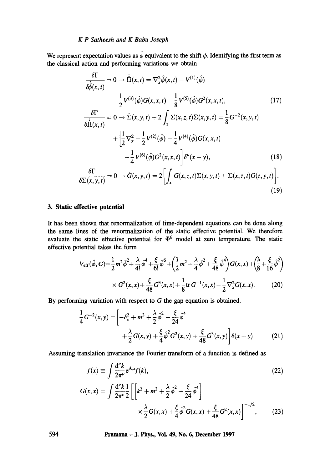We represent expectation values as  $\hat{\phi}$  equivalent to the shift  $\phi$ . Identifying the first term as the classical action and performing variations we obtain

$$
\frac{\delta \Gamma}{\delta \hat{\phi}(x,t)} = 0 \rightarrow \hat{\Pi}(x,t) = \nabla_x^2 \hat{\phi}(x,t) - V^{(1)}(\hat{\phi}) \n- \frac{1}{2} V^{(3)}(\hat{\phi}) G(x, x, t) - \frac{1}{8} V^{(5)}(\hat{\phi}) G^2(x, x, t),
$$
\n(17)  
\n
$$
\frac{\delta \Gamma}{\delta \hat{\Pi}(x,t)} = 0 \rightarrow \dot{\Sigma}(x, y, t) + 2 \int_x \Sigma(x, z, t) \Sigma(x, y, t) = \frac{1}{8} G^{-2}(x, y, t) \n+ \left[ \frac{1}{2} \nabla_x^2 - \frac{1}{2} V^{(2)}(\hat{\phi}) - \frac{1}{4} V^{(4)}(\hat{\phi}) G(x, x, t) - \frac{1}{4} V^{(6)}(\hat{\phi}) G^2(x, x, t) \right] \delta^{\nu}(x - y),
$$
\n(18)  
\n
$$
\frac{\delta \Gamma}{\delta \Sigma(x, y, t)} = 0 \rightarrow \dot{G}(x, y, t) = 2 \left[ \int_x G(x, z, t) \Sigma(x, y, t) + \Sigma(x, z, t) G(z, y, t) \right].
$$
\n(19)

## **3. Static effective potential**

It has been shown that renormalization of time-dependent equations can be done along the same lines of the renormalization of the static effective potential. We therefore evaluate the static effective potential for  $\Phi^6$  model at zero temperature. The static effective potential takes the form

$$
V_{\text{eff}}(\hat{\phi}, G) = \frac{1}{2} m^2 \hat{\phi}^2 + \frac{\lambda}{4!} \hat{\phi}^4 + \frac{\xi}{6!} \hat{\phi}^6 + \left(\frac{1}{2} m^2 + \frac{\lambda}{4} \hat{\phi}^2 + \frac{\xi}{48} \hat{\phi}^4\right) G(x, x) + \left(\frac{\lambda}{8} + \frac{\xi}{16} \hat{\phi}^2\right)
$$
  
 
$$
\times G^2(x, x) + \frac{\xi}{48} G^3(x, x) + \frac{1}{8} \text{tr } G^{-1}(x, x) - \frac{1}{2} \nabla_x^2 G(x, x). \tag{20}
$$

By performing variation with respect to G the gap equation is obtained.

$$
\frac{1}{4}G^{-2}(x,y) = \left[ -\delta_x^2 + m^2 + \frac{\lambda}{2}\hat{\phi}^2 + \frac{\xi}{24}\hat{\phi}^4 + \frac{\lambda}{2}G(x,y) + \frac{\xi}{4}\hat{\phi}^2G^2(x,y) + \frac{\xi}{48}G^3(x,y) \right] \delta(x-y).
$$
\n(21)

Assuming translation invariance the Fourier transform of a function is defined as

$$
f(x) = \int \frac{d^{\nu}k}{2\pi^{\nu}} e^{ik.x} f(k),
$$
\n
$$
G(x,x) = \int \frac{d^{\nu}k}{2\pi^{\nu}} \frac{1}{2} \left[ \left[ k^2 + m^2 + \frac{\lambda}{2} \hat{\phi}^2 + \frac{\xi}{24} \hat{\phi}^4 \right] \times \frac{\lambda}{2} G(x,x) + \frac{\xi}{4} \hat{\phi}^2 G(x,x) + \frac{\xi}{48} G^2(x,x) \right]^{-1/2},
$$
\n(23)

**594 Pramana - J. Phys., Vol. 49, No. 6, December 1997**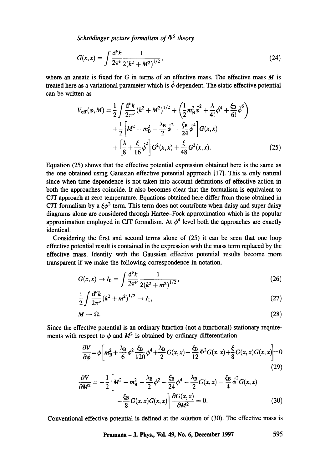*Schrödinger picture formalism of*  $\Phi^6$  *theory* 

$$
G(x,x) = \int \frac{\mathrm{d}^{\nu} k}{2\pi^{\nu}} \frac{1}{2(k^2 + M^2)^{1/2}},\tag{24}
$$

where an ansatz is fixed for  $G$  in terms of an effective mass. The effective mass  $M$  is treated here as a variational parameter which is  $\hat{\phi}$  dependent. The static effective potential can be written as

$$
V_{\text{eff}}(\phi, M) = \frac{1}{2} \int \frac{d^{\nu}k}{2\pi^{\nu}} (k^2 + M^2)^{1/2} + \left(\frac{1}{2} m_{\text{B}}^2 \hat{\phi}^2 + \frac{\lambda}{4!} \hat{\phi}^4 + \frac{\xi_{\text{B}}}{6!} \hat{\phi}^6\right) + \frac{1}{2} \left[M^2 - m_{\text{B}}^2 - \frac{\lambda_{\text{B}}}{2} \hat{\phi}^2 - \frac{\xi_{\text{B}}}{24} \hat{\phi}^4\right] G(x, x) + \left[\frac{\lambda}{8} + \frac{\xi}{16} \hat{\phi}^2\right] G^2(x, x) + \frac{\xi}{48} G^3(x, x).
$$
 (25)

Equation (25) shows that the effective potential expression obtained here is the same as the one obtained using Gaussian effective potential approach [17]. This is only natural since when time dependence is not taken into account definitions of effective action in both the approaches coincide. It also becomes clear that the formalism is equivalent to CJT approach at zero temperature. Equations obtained here differ from those obtained in CJT formalism by a  $\xi \phi^2$  term. This term does not contribute when daisy and super daisy diagrams alone are considered through Hartee-Fock approximation which is the popular approximation employed in CJT formalism. At  $\phi^4$  level both the approaches are exactly identical.

Considering the first and second terms alone of (25) it can be seen that one loop effective potential result is contained in the expression with the mass term replaced by the effective mass. Identity with the Gaussian effective potential results become more transparent if we make the following correspondence in notation.

$$
G(x,x) \to I_0 = \int \frac{\mathrm{d}^{\nu} k}{2\pi^{\nu}} \frac{1}{2(k^2 + m^2)^{1/2}},\tag{26}
$$

$$
\frac{1}{2} \int \frac{d^{\nu}k}{2\pi^{\nu}} (k^2 + m^2)^{1/2} \to I_1,
$$
\n(27)

$$
M \to \Omega. \tag{28}
$$

Since the effective potential is an ordinary function (not a functional) stationary requirements with respect to  $\phi$  and  $M^2$  is obtained by ordinary differentiation

$$
\frac{\partial V}{\partial \phi} = \phi \left[ m_B^2 + \frac{\lambda_B}{6} \phi^2 \frac{\xi_B}{120} \phi^4 + \frac{\lambda_B}{2} G(x, x) + \frac{\xi_B}{12} \Phi^2 G(x, x) + \frac{\xi}{8} G(x, x) G(x, x) \right] = 0
$$
\n(29)

$$
\frac{\partial V}{\partial M^2} = -\frac{1}{2} \left[ M^2 - m_B^2 - \frac{\lambda_B}{2} \phi^2 - \frac{\xi_B}{24} \phi^4 - \frac{\lambda_B}{2} G(x, x) - \frac{\xi_B}{4} \hat{\phi}^2 G(x, x) - \frac{\xi_B}{8} G(x, x) G(x, x) \right] \frac{\partial G(x, x)}{\partial M^2} = 0.
$$
\n(30)

Conventional effective potential is defined at the solution of (30). The effective mass is

**Pramana - J. Phys., Vol. 49, No. 6, December 1997 595**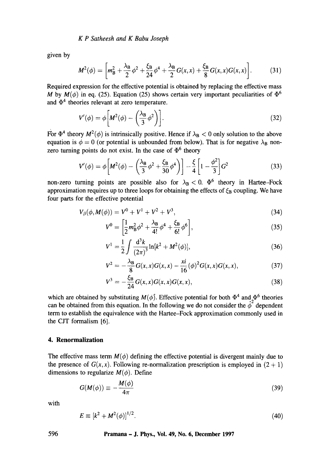given by

$$
M^{2}(\phi) = \left[ m_{\rm B}^{2} + \frac{\lambda_{\rm B}}{2} \phi^{2} + \frac{\xi_{\rm B}}{24} \phi^{4} + \frac{\lambda_{\rm B}}{2} G(x, x) + \frac{\xi_{\rm B}}{8} G(x, x) G(x, x) \right].
$$
 (31)

Required expression for the effective potential is obtained by replacing the effective mass M by  $M(\phi)$  in eq. (25). Equation (25) shows certain very important peculiarities of  $\Phi^6$ and  $\Phi^4$  theories relevant at zero temperature.

$$
V'(\phi) = \phi \left[ M^2(\phi) - \left( \frac{\lambda_B}{3} \phi^2 \right) \right].
$$
 (32)

For  $\Phi^4$  theory  $M^2(\phi)$  is intrinsically positive. Hence if  $\lambda_B < 0$  only solution to the above equation is  $\phi = 0$  (or potential is unbounded from below). That is for negative  $\lambda_{\rm B}$  nonzero turning points do not exist. In the case of  $\Phi^6$  theory

$$
V'(\phi) = \phi \left[ M^2(\phi) - \left( \frac{\lambda_B}{3} \phi^2 + \frac{\xi_B}{30} \phi^4 \right) \right] - \frac{\xi}{4} \left[ 1 - \frac{\phi^2}{3} \right] G^2 \tag{33}
$$

non-zero turning points are possible also for  $\lambda_B < 0$ .  $\Phi^6$  theory in Hartee-Fock approximation requires up to three loops for obtaining the effects of  $\zeta_B$  coupling. We have four parts for the effective potential

$$
V_{\beta}(\phi, M(\phi)) = V^0 + V^1 + V^2 + V^3, \qquad (34)
$$

$$
V^{0} = \left[\frac{1}{2}m_{\rm B}^{2}\phi^{2} + \frac{\lambda_{\rm B}}{4!}\phi^{4} + \frac{\xi_{\rm B}}{6!}\phi^{6}\right],\tag{35}
$$

$$
V^{1} = \frac{1}{2} \int \frac{d^{3}k}{(2\pi)^{3}} \ln[k^{2} + M^{2}(\phi)],
$$
\n(36)

$$
V^{2} = -\frac{\lambda_{\text{B}}}{8}G(x, x)G(x, x) - \frac{xi}{16}(\phi)^{2}G(x, x)G(x, x), \qquad (37)
$$

$$
V^3 = -\frac{\xi_B}{24}G(x, x)G(x, x)G(x, x), \qquad (38)
$$

which are obtained by substituting  $M(\phi)$ . Effective potential for both  $\Phi^4$  and  $\Phi^6$  theories can be obtained from this equation. In the following we do not consider the  $\hat{\phi}^2$  dependent term to establish the equivalence with the Hartee-Fock approximation commonly used in the CJT formalism [6].

# **4. Renormalization**

The effective mass term  $M(\phi)$  defining the effective potential is divergent mainly due to the presence of  $G(x, x)$ . Following re-normalization prescription is employed in  $(2 + 1)$ dimensions to regularize  $M(\phi)$ . Define

$$
G(M(\phi)) \equiv -\frac{M(\phi)}{4\pi} \tag{39}
$$

with

$$
E = [k^2 + M^2(\phi)]^{1/2}.
$$
 (40)

## **596 Pramana - J. Phys., Vol. 49, No. 6, December 1997**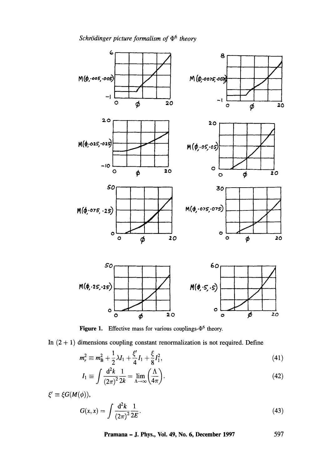

Figure 1. Effective mass for various couplings- $\Phi^6$  theory.

In  $(2 + 1)$  dimensions coupling constant renormalization is not required. Define

$$
m_r^2 \equiv m_B^2 + \frac{1}{2}\lambda I_1 + \frac{\xi'}{4}I_1 + \frac{\xi}{8}I_1^2,\tag{41}
$$

$$
I_1 \equiv \int \frac{\mathrm{d}^2 k}{(2\pi)^2} \frac{1}{2k} = \lim_{\Lambda \to \infty} \left( \frac{\Lambda}{4\pi} \right). \tag{42}
$$

 $\xi' \equiv \xi G(M(\phi)),$ 

$$
G(x,x) = \int \frac{\mathrm{d}^2 k}{(2\pi)^2} \frac{1}{2E}.
$$
 (43)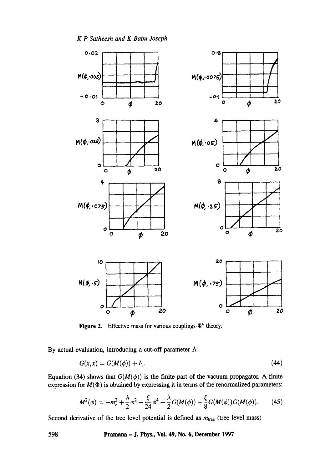

**Figure 2.** Effective mass for various couplings- $\Phi^4$  theory.

By actual evaluation, introducing a cut-off parameter  $\Lambda$ 

$$
G(x, x) = G(M(\phi)) + I_1.
$$
 (44)

Equation (34) shows that  $G(M(\phi))$  is the finite part of the vacuum propagator. A finite expression for  $M(\Phi)$  is obtained by expressing it in terms of the renormalized parameters:

$$
M^{2}(\phi) = -m_{r}^{2} + \frac{\lambda}{2}\phi^{2} + \frac{\xi}{24}\phi^{4} + \frac{\lambda}{2}G(M(\phi)) + \frac{\xi}{8}G(M(\phi))G(M(\phi)).
$$
 (45)

Second derivative of the tree level potential is defined as  $m_{\text{tree}}$  (tree level mass)

598 Pramana - J. Phys., Vol. 49, No. 6, December 1997

*K P Satheesh and K Babu Joseph*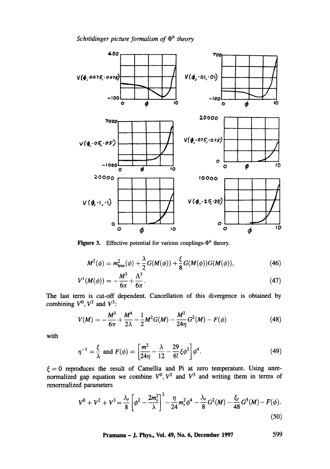*Schrödinger picture formalism of*  $\Phi^6$  *theory* 



**Figure 3.** Effective potential for various couplings- $\Phi^6$  theory.

$$
M^{2}(\phi) = m_{\text{tree}}^{2}(\phi) + \frac{\lambda}{2}G(M(\phi)) + \frac{\xi}{8}G(M(\phi))G(M(\phi)), \tag{46}
$$

$$
V^{1}(M(\phi)) = -\frac{M^{3}}{6\pi} + \frac{\Lambda^{3}}{6\pi}.
$$
 (47)

The last term is cut-off dependent. Cancellation of this divergence is obtained by combining  $V^0$ ,  $V^2$  and  $V^3$ :

$$
V(M) = -\frac{M^3}{6\pi} + \frac{M^4}{2\lambda} - \frac{1}{2}M^2G(M) - \frac{M^2}{24\eta}G^2(M) - F(\phi)
$$
 (48)

with

$$
\eta^{-1} = \frac{\xi}{\lambda} \text{ and } F(\phi) = \left[ \frac{m^2}{24\eta} - \frac{\lambda}{12} - \frac{29}{6!} \xi \phi^2 \right] \phi^4. \tag{49}
$$

 $\xi = 0$  reproduces the result of Camellia and Pi at zero temperature. Using unrenormalized gap equation we combine  $V^0$ ,  $V^2$  and  $V^3$  and writing them in terms of renormalized parameters

$$
V^{0} + V^{2} + V^{3} = \frac{\lambda_{r}}{8} \left[ \phi^{2} - \frac{2m_{r}^{2}}{\lambda} \right]^{2} - \frac{\eta}{24} m_{r}^{2} \phi^{4} - \frac{\lambda_{r}}{8} G^{2}(M) - \frac{\xi_{r}}{48} G^{3}(M) - F(\phi).
$$
\n(50)

Pramana - J. Phys., Vol. 49, No. 6, December 1997 599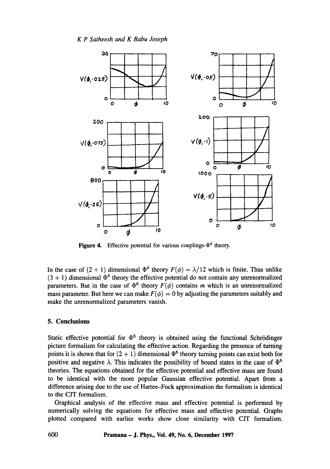

**Figure 4.** Effective potential for various couplings- $\Phi^4$  theory.

In the case of  $(2 + 1)$  dimensional  $\Phi^4$  theory  $F(\phi) = \lambda/12$  which is finite. Thus unlike  $(3 + 1)$  dimensional  $\Phi^4$  theory the effective potential do not contain any unrenormalized parameters. But in the case of  $\Phi^6$  theory  $F(\phi)$  contains m which is an unrenormalized mass parameter. But here we can make  $F(\phi) = 0$  by adjusting the parameters suitably and make the unrenormalized parameters vanish.

## **5. Conclusions**

Static effective potential for  $\Phi^6$  theory is obtained using the functional Schrödinger picture formalism for calculating the effective action. Regarding the presence of turning points it is shown that for  $(2 + 1)$  dimensional  $\Phi^6$  theory turning points can exist both for positive and negative  $\lambda$ . This indicates the possibility of bound states in the case of  $\Phi^6$ theories. The equations obtained for the effective potential and effective mass are found to be identical with the more popular Gaussian effective potential. Apart from a difference arising due to the use of Hartee-Fock approximation the formalism is identical to the CJT formalism.

Graphical analysis of the effective mass and effective potential is performed by numerically solving the equations for effective mass and effective potential. Graphs plotted compared with earlier works show close similarity with CJT formalism.